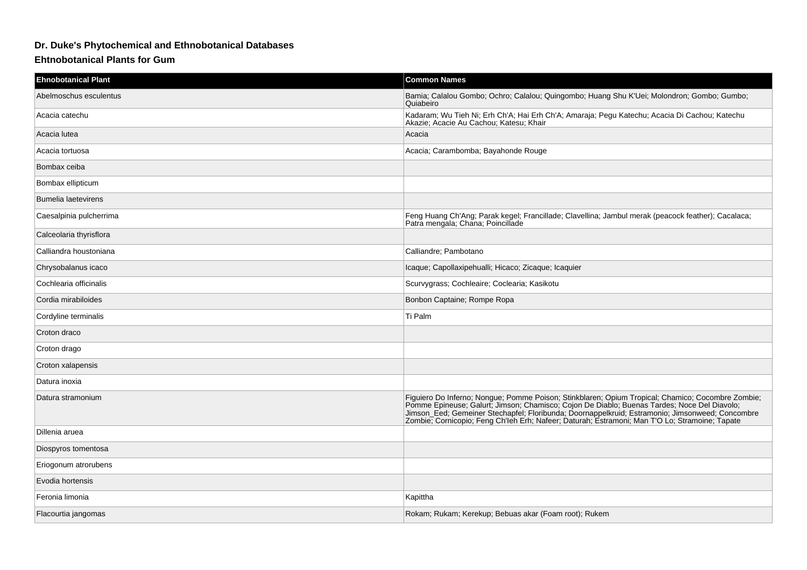## **Dr. Duke's Phytochemical and Ethnobotanical Databases**

## **Ehtnobotanical Plants for Gum**

| <b>Ehnobotanical Plant</b> | <b>Common Names</b>                                                                                                                                                                                                                                                                                                                                                                                |
|----------------------------|----------------------------------------------------------------------------------------------------------------------------------------------------------------------------------------------------------------------------------------------------------------------------------------------------------------------------------------------------------------------------------------------------|
| Abelmoschus esculentus     | Bamia; Calalou Gombo; Ochro; Calalou; Quingombo; Huang Shu K'Uei; Molondron; Gombo; Gumbo;<br>Quiabeiro                                                                                                                                                                                                                                                                                            |
| Acacia catechu             | Kadaram; Wu Tieh Ni; Erh Ch'A; Hai Erh Ch'A; Amaraja; Pegu Katechu; Acacia Di Cachou; Katechu<br>Akazie; Acacie Au Cachou; Katesu; Khair                                                                                                                                                                                                                                                           |
| Acacia lutea               | Acacia                                                                                                                                                                                                                                                                                                                                                                                             |
| Acacia tortuosa            | Acacia; Carambomba; Bayahonde Rouge                                                                                                                                                                                                                                                                                                                                                                |
| Bombax ceiba               |                                                                                                                                                                                                                                                                                                                                                                                                    |
| Bombax ellipticum          |                                                                                                                                                                                                                                                                                                                                                                                                    |
| <b>Bumelia laetevirens</b> |                                                                                                                                                                                                                                                                                                                                                                                                    |
| Caesalpinia pulcherrima    | Feng Huang Ch'Ang; Parak kegel; Francillade; Clavellina; Jambul merak (peacock feather); Cacalaca;<br>Patra mengala; Chana; Poincillade                                                                                                                                                                                                                                                            |
| Calceolaria thyrisflora    |                                                                                                                                                                                                                                                                                                                                                                                                    |
| Calliandra houstoniana     | Calliandre; Pambotano                                                                                                                                                                                                                                                                                                                                                                              |
| Chrysobalanus icaco        | Icaque; Capollaxipehualli; Hicaco; Zicaque; Icaquier                                                                                                                                                                                                                                                                                                                                               |
| Cochlearia officinalis     | Scurvygrass; Cochleaire; Coclearia; Kasikotu                                                                                                                                                                                                                                                                                                                                                       |
| Cordia mirabiloides        | Bonbon Captaine; Rompe Ropa                                                                                                                                                                                                                                                                                                                                                                        |
| Cordyline terminalis       | Ti Palm                                                                                                                                                                                                                                                                                                                                                                                            |
| Croton draco               |                                                                                                                                                                                                                                                                                                                                                                                                    |
| Croton drago               |                                                                                                                                                                                                                                                                                                                                                                                                    |
| Croton xalapensis          |                                                                                                                                                                                                                                                                                                                                                                                                    |
| Datura inoxia              |                                                                                                                                                                                                                                                                                                                                                                                                    |
| Datura stramonium          | Figuiero Do Inferno; Nongue; Pomme Poison; Stinkblaren; Opium Tropical; Chamico; Cocombre Zombie; Pomme Epineuse; Galurt; Jimson; Chamisco; Cojon De Diablo; Buenas Tardes; Noce Del Diavolo;<br>Jimson_Eed; Gemeiner Stechapfel; Floribunda; Doornappelkruid; Estramonio; Jimsonweed; Concombre<br>Zombie; Cornicopio; Feng Ch'leh Erh; Nafeer; Daturah; Estramoni; Man T'O Lo; Stramonie; Tapate |
| Dillenia aruea             |                                                                                                                                                                                                                                                                                                                                                                                                    |
| Diospyros tomentosa        |                                                                                                                                                                                                                                                                                                                                                                                                    |
| Eriogonum atrorubens       |                                                                                                                                                                                                                                                                                                                                                                                                    |
| Evodia hortensis           |                                                                                                                                                                                                                                                                                                                                                                                                    |
| Feronia limonia            | Kapittha                                                                                                                                                                                                                                                                                                                                                                                           |
| Flacourtia jangomas        | Rokam; Rukam; Kerekup; Bebuas akar (Foam root); Rukem                                                                                                                                                                                                                                                                                                                                              |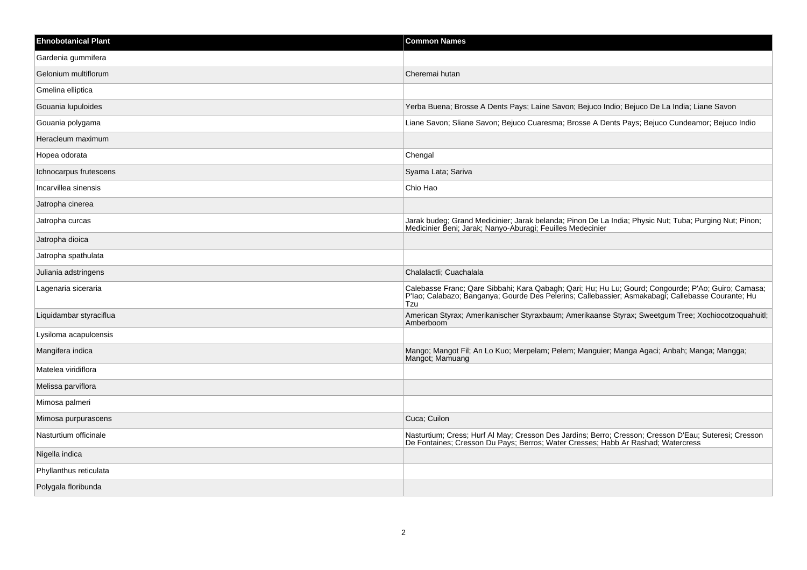| <b>Ehnobotanical Plant</b> | <b>Common Names</b>                                                                                                                                                                                             |
|----------------------------|-----------------------------------------------------------------------------------------------------------------------------------------------------------------------------------------------------------------|
| Gardenia gummifera         |                                                                                                                                                                                                                 |
| Gelonium multiflorum       | Cheremai hutan                                                                                                                                                                                                  |
| Gmelina elliptica          |                                                                                                                                                                                                                 |
| Gouania lupuloides         | Yerba Buena; Brosse A Dents Pays; Laine Savon; Bejuco Indio; Bejuco De La India; Liane Savon                                                                                                                    |
| Gouania polygama           | Liane Savon; Sliane Savon; Bejuco Cuaresma; Brosse A Dents Pays; Bejuco Cundeamor; Bejuco Indio                                                                                                                 |
| Heracleum maximum          |                                                                                                                                                                                                                 |
| Hopea odorata              | Chengal                                                                                                                                                                                                         |
| Ichnocarpus frutescens     | Syama Lata; Sariva                                                                                                                                                                                              |
| Incarvillea sinensis       | Chio Hao                                                                                                                                                                                                        |
| Jatropha cinerea           |                                                                                                                                                                                                                 |
| Jatropha curcas            | Jarak budeg; Grand Medicinier; Jarak belanda; Pinon De La India; Physic Nut; Tuba; Purging Nut; Pinon;<br>Medicinier Beni; Jarak; Nanyo-Aburagi; Feuilles Medecinier                                            |
| Jatropha dioica            |                                                                                                                                                                                                                 |
| Jatropha spathulata        |                                                                                                                                                                                                                 |
| Juliania adstringens       | Chalalactli; Cuachalala                                                                                                                                                                                         |
| Lagenaria siceraria        | Calebasse Franc; Qare Sibbahi; Kara Qabagh; Qari; Hu; Hu Lu; Gourd; Congourde; P'Ao; Guiro; Camasa;<br>P'lao; Calabazo; Banganya; Gourde Des Pelerins; Callebassier; Asmakabagi; Callebasse Courante; Hu<br>Tzu |
| Liquidambar styraciflua    | American Styrax; Amerikanischer Styraxbaum; Amerikaanse Styrax; Sweetgum Tree; Xochiocotzoquahuitl;<br>Amberboom                                                                                                |
| Lysiloma acapulcensis      |                                                                                                                                                                                                                 |
| Mangifera indica           | Mango; Mangot Fil; An Lo Kuo; Merpelam; Pelem; Manguier; Manga Agaci; Anbah; Manga; Mangga;<br>Mangot; Mamuang                                                                                                  |
| Matelea viridiflora        |                                                                                                                                                                                                                 |
| Melissa parviflora         |                                                                                                                                                                                                                 |
| Mimosa palmeri             |                                                                                                                                                                                                                 |
| Mimosa purpurascens        | Cuca; Cuilon                                                                                                                                                                                                    |
| Nasturtium officinale      | Nasturtium; Cress; Hurf Al May; Cresson Des Jardins; Berro; Cresson; Cresson D'Eau; Suteresi; Cresson<br>De Fontaines; Cresson Du Pays; Berros; Water Cresses; Habb Ar Rashad; Watercress                       |
| Nigella indica             |                                                                                                                                                                                                                 |
| Phyllanthus reticulata     |                                                                                                                                                                                                                 |
| Polygala floribunda        |                                                                                                                                                                                                                 |